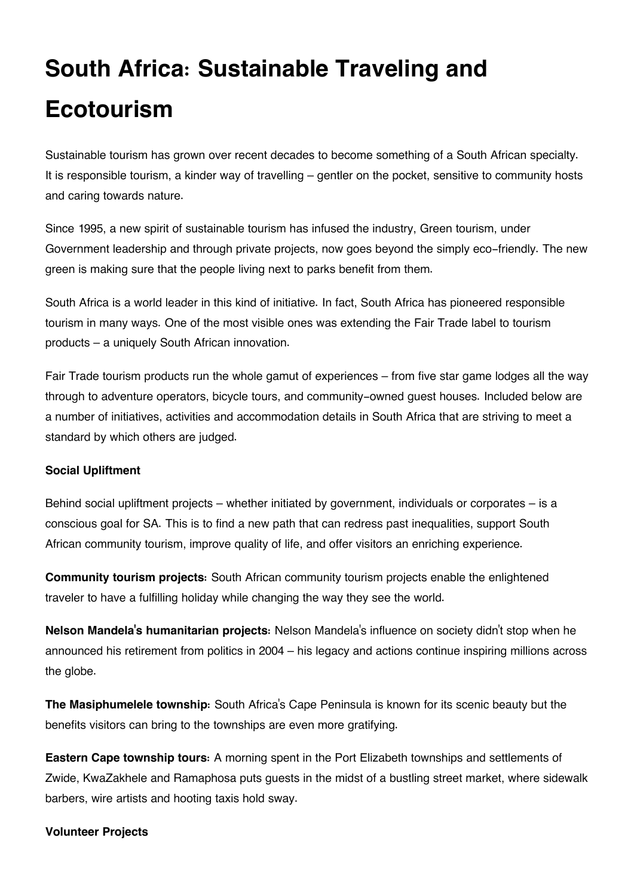# **South Africa: Sustainable Traveling and Ecotourism**

Sustainable tourism has grown over recent decades to become something of a South African specialty. It is responsible tourism, a kinder way of travelling – gentler on the pocket, sensitive to community hosts and caring towards nature.

Since 1995, a new spirit of sustainable tourism has infused the industry, Green tourism, under Government leadership and through private projects, now goes beyond the simply eco-friendly. The new green is making sure that the people living next to parks benefit from them.

South Africa is a world leader in this kind of initiative. In fact, South Africa has pioneered responsible tourism in many ways. One of the most visible ones was extending the Fair Trade label to tourism products – a uniquely South African innovation.

Fair Trade tourism products run the whole gamut of experiences – from five star game lodges all the way through to adventure operators, bicycle tours, and community-owned guest houses. Included below are a number of initiatives, activities and accommodation details in South Africa that are striving to meet a standard by which others are judged.

### **Social Upliftment**

Behind social upliftment projects – whether initiated by government, individuals or corporates – is a conscious goal for SA. This is to find a new path that can redress past inequalities, support South African community tourism, improve quality of life, and offer visitors an enriching experience.

**Community tourism projects:** South African community tourism projects enable the enlightened traveler to have a fulfilling holiday while changing the way they see the world.

**Nelson Mandela's humanitarian projects:** Nelson Mandela's influence on society didn't stop when he announced his retirement from politics in 2004 – his legacy and actions continue inspiring millions across the globe.

**The Masiphumelele township:** South Africa's Cape Peninsula is known for its scenic beauty but the benefits visitors can bring to the townships are even more gratifying.

**Eastern Cape township tours:** A morning spent in the Port Elizabeth townships and settlements of Zwide, KwaZakhele and Ramaphosa puts guests in the midst of a bustling street market, where sidewalk barbers, wire artists and hooting taxis hold sway.

# **Volunteer Projects**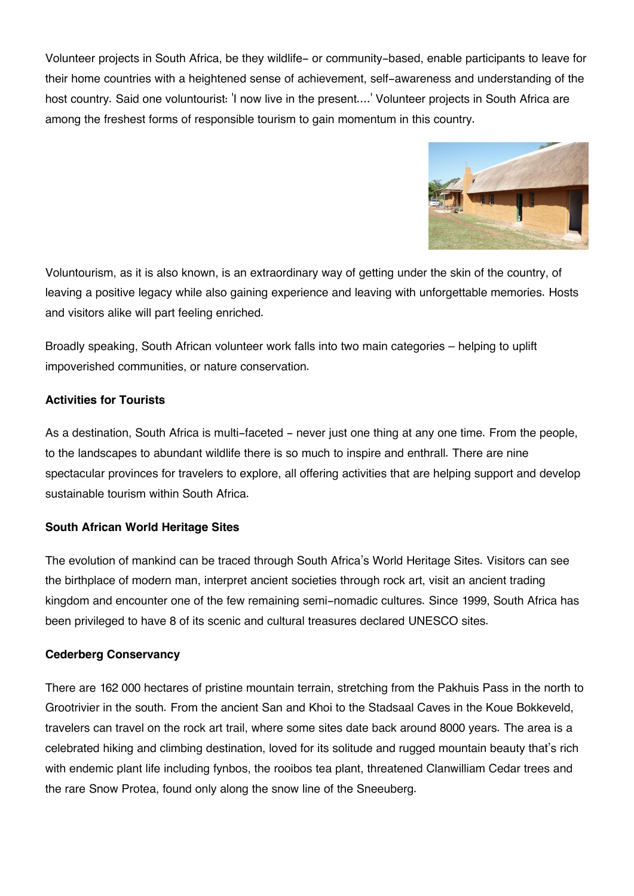Volunteer projects in South Africa, be they wildlife- or community-based, enable participants to leave for their home countries with a heightened sense of achievement, self-awareness and understanding of the host country. Said one voluntourist: 'I now live in the present....' Volunteer projects in South Africa are among the freshest forms of responsible tourism to gain momentum in this country.



Voluntourism, as it is also known, is an extraordinary way of getting under the skin of the country, of leaving a positive legacy while also gaining experience and leaving with unforgettable memories. Hosts and visitors alike will part feeling enriched.

Broadly speaking, South African volunteer work falls into two main categories – helping to uplift impoverished communities, or nature conservation.

# **Activities for Tourists**

As a destination, South Africa is multi-faceted – never just one thing at any one time. From the people, to the landscapes to abundant wildlife there is so much to inspire and enthrall. There are nine spectacular provinces for travelers to explore, all offering activities that are helping support and develop sustainable tourism within South Africa.

### **South African World Heritage Sites**

The evolution of mankind can be traced through South Africa's World Heritage Sites. Visitors can see the birthplace of modern man, interpret ancient societies through rock art, visit an ancient trading kingdom and encounter one of the few remaining semi-nomadic cultures. Since 1999, South Africa has been privileged to have 8 of its scenic and cultural treasures declared UNESCO sites.

### **Cederberg Conservancy**

There are 162 000 hectares of pristine mountain terrain, stretching from the Pakhuis Pass in the north to Grootrivier in the south. From the ancient San and Khoi to the Stadsaal Caves in the Koue Bokkeveld, travelers can travel on the rock art trail, where some sites date back around 8000 years. The area is a celebrated hiking and climbing destination, loved for its solitude and rugged mountain beauty that's rich with endemic plant life including fynbos, the rooibos tea plant, threatened Clanwilliam Cedar trees and the rare Snow Protea, found only along the snow line of the Sneeuberg.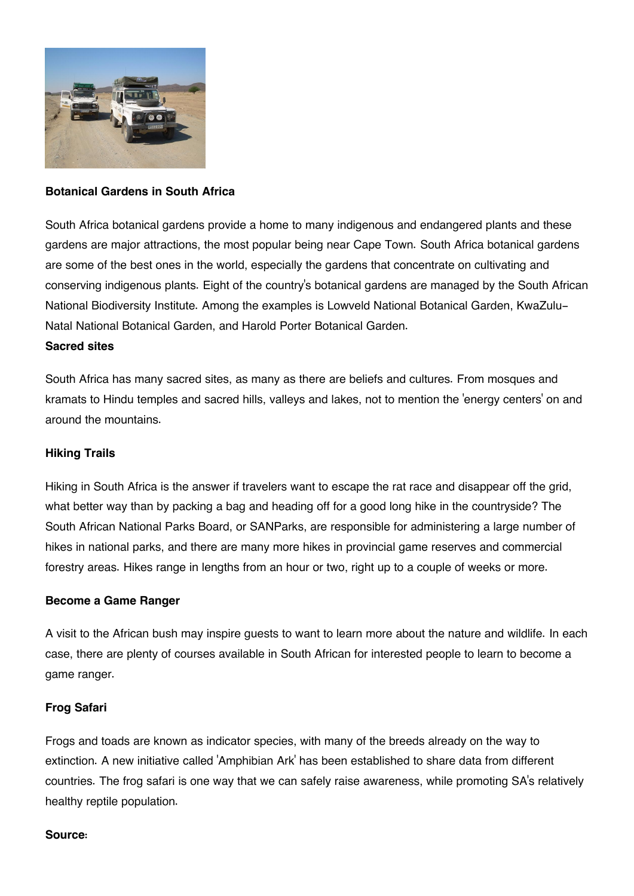

## **Botanical Gardens in South Africa**

South Africa botanical gardens provide a home to many indigenous and endangered plants and these gardens are major attractions, the most popular being near Cape Town. South Africa botanical gardens are some of the best ones in the world, especially the gardens that concentrate on cultivating and conserving indigenous plants. Eight of the country's botanical gardens are managed by the South African National Biodiversity Institute. Among the examples is Lowveld National Botanical Garden, KwaZulu-Natal National Botanical Garden, and Harold Porter Botanical Garden.

# **Sacred sites**

South Africa has many sacred sites, as many as there are beliefs and cultures. From mosques and kramats to Hindu temples and sacred hills, valleys and lakes, not to mention the 'energy centers' on and around the mountains.

# **Hiking Trails**

Hiking in South Africa is the answer if travelers want to escape the rat race and disappear off the grid, what better way than by packing a bag and heading off for a good long hike in the countryside? The South African National Parks Board, or SANParks, are responsible for administering a large number of hikes in national parks, and there are many more hikes in provincial game reserves and commercial forestry areas. Hikes range in lengths from an hour or two, right up to a couple of weeks or more.

### **Become a Game Ranger**

A visit to the African bush may inspire guests to want to learn more about the nature and wildlife. In each case, there are plenty of courses available in South African for interested people to learn to become a game ranger.

### **Frog Safari**

Frogs and toads are known as indicator species, with many of the breeds already on the way to extinction. A new initiative called 'Amphibian Ark' has been established to share data from different countries. The frog safari is one way that we can safely raise awareness, while promoting SA's relatively healthy reptile population.

#### **Source:**